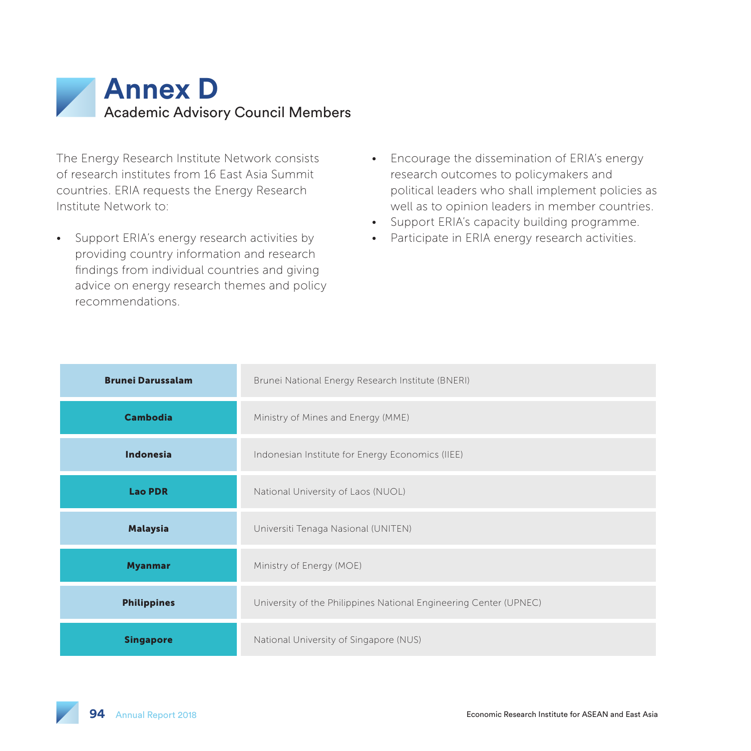

The Energy Research Institute Network consists of research institutes from 16 East Asia Summit countries. ERIA requests the Energy Research Institute Network to:

- Support ERIA's energy research activities by providing country information and research findings from individual countries and giving advice on energy research themes and policy recommendations.
- Encourage the dissemination of ERIA's energy research outcomes to policymakers and political leaders who shall implement policies as well as to opinion leaders in member countries.
- Support ERIA's capacity building programme.
- Participate in ERIA energy research activities.

| <b>Brunei Darussalam</b> | Brunei National Energy Research Institute (BNERI)                 |
|--------------------------|-------------------------------------------------------------------|
| <b>Cambodia</b>          | Ministry of Mines and Energy (MME)                                |
| Indonesia                | Indonesian Institute for Energy Economics (IIEE)                  |
| <b>Lao PDR</b>           | National University of Laos (NUOL)                                |
| <b>Malaysia</b>          | Universiti Tenaga Nasional (UNITEN)                               |
| <b>Myanmar</b>           | Ministry of Energy (MOE)                                          |
| <b>Philippines</b>       | University of the Philippines National Engineering Center (UPNEC) |
| <b>Singapore</b>         | National University of Singapore (NUS)                            |